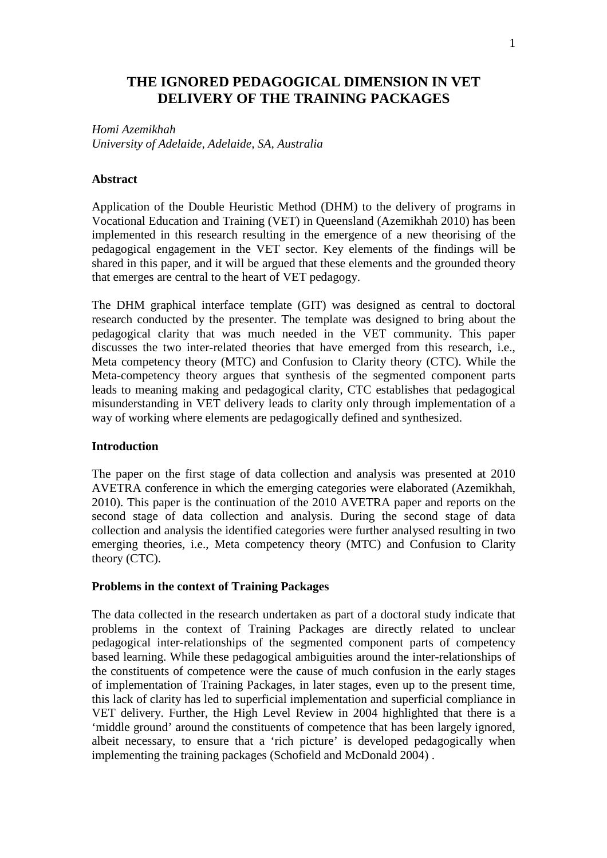# **THE IGNORED PEDAGOGICAL DIMENSION IN VET DELIVERY OF THE TRAINING PACKAGES**

*Homi Azemikhah University of Adelaide, Adelaide, SA, Australia*

#### **Abstract**

Application of the Double Heuristic Method (DHM) to the delivery of programs in Vocational Education and Training (VET) in Queensland (Azemikhah 2010) has been implemented in this research resulting in the emergence of a new theorising of the pedagogical engagement in the VET sector. Key elements of the findings will be shared in this paper, and it will be argued that these elements and the grounded theory that emerges are central to the heart of VET pedagogy.

The DHM graphical interface template (GIT) was designed as central to doctoral research conducted by the presenter. The template was designed to bring about the pedagogical clarity that was much needed in the VET community. This paper discusses the two inter-related theories that have emerged from this research, i.e., Meta competency theory (MTC) and Confusion to Clarity theory (CTC). While the Meta-competency theory argues that synthesis of the segmented component parts leads to meaning making and pedagogical clarity, CTC establishes that pedagogical misunderstanding in VET delivery leads to clarity only through implementation of a way of working where elements are pedagogically defined and synthesized.

#### **Introduction**

The paper on the first stage of data collection and analysis was presented at 2010 AVETRA conference in which the emerging categories were elaborated (Azemikhah, 2010). This paper is the continuation of the 2010 AVETRA paper and reports on the second stage of data collection and analysis. During the second stage of data collection and analysis the identified categories were further analysed resulting in two emerging theories, i.e., Meta competency theory (MTC) and Confusion to Clarity theory (CTC).

## **Problems in the context of Training Packages**

The data collected in the research undertaken as part of a doctoral study indicate that problems in the context of Training Packages are directly related to unclear pedagogical inter-relationships of the segmented component parts of competency based learning. While these pedagogical ambiguities around the inter-relationships of the constituents of competence were the cause of much confusion in the early stages of implementation of Training Packages, in later stages, even up to the present time, this lack of clarity has led to superficial implementation and superficial compliance in VET delivery. Further, the High Level Review in 2004 highlighted that there is a 'middle ground' around the constituents of competence that has been largely ignored, albeit necessary, to ensure that a 'rich picture' is developed pedagogically when implementing the training packages (Schofield and McDonald 2004) .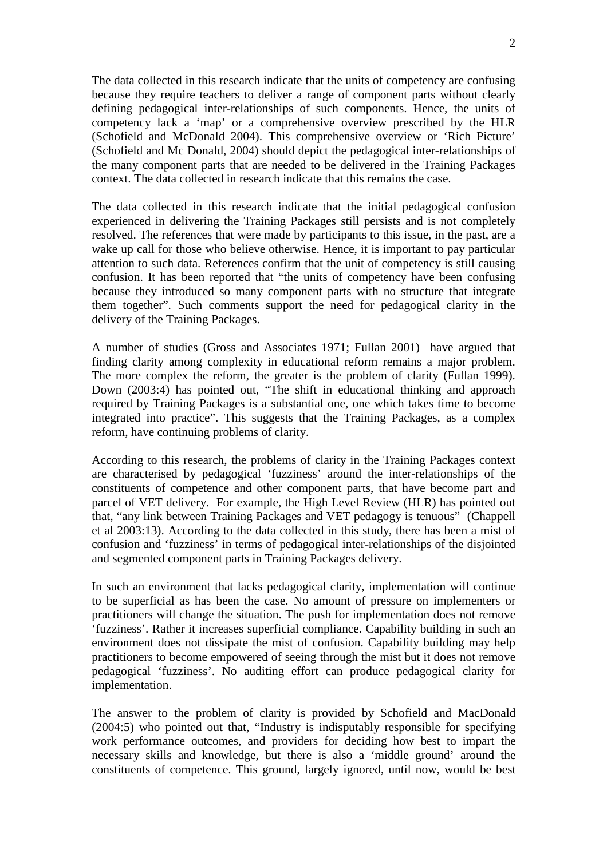The data collected in this research indicate that the units of competency are confusing because they require teachers to deliver a range of component parts without clearly defining pedagogical inter-relationships of such components. Hence, the units of competency lack a 'map' or a comprehensive overview prescribed by the HLR (Schofield and McDonald 2004). This comprehensive overview or 'Rich Picture' (Schofield and Mc Donald, 2004) should depict the pedagogical inter-relationships of the many component parts that are needed to be delivered in the Training Packages context. The data collected in research indicate that this remains the case.

The data collected in this research indicate that the initial pedagogical confusion experienced in delivering the Training Packages still persists and is not completely resolved. The references that were made by participants to this issue, in the past, are a wake up call for those who believe otherwise. Hence, it is important to pay particular attention to such data. References confirm that the unit of competency is still causing confusion. It has been reported that "the units of competency have been confusing because they introduced so many component parts with no structure that integrate them together". Such comments support the need for pedagogical clarity in the delivery of the Training Packages.

A number of studies (Gross and Associates 1971; Fullan 2001) have argued that finding clarity among complexity in educational reform remains a major problem. The more complex the reform, the greater is the problem of clarity (Fullan 1999). Down (2003:4) has pointed out, "The shift in educational thinking and approach required by Training Packages is a substantial one, one which takes time to become integrated into practice". This suggests that the Training Packages, as a complex reform, have continuing problems of clarity.

According to this research, the problems of clarity in the Training Packages context are characterised by pedagogical 'fuzziness' around the inter-relationships of the constituents of competence and other component parts, that have become part and parcel of VET delivery. For example, the High Level Review (HLR) has pointed out that, "any link between Training Packages and VET pedagogy is tenuous" (Chappell et al 2003:13). According to the data collected in this study, there has been a mist of confusion and 'fuzziness' in terms of pedagogical inter-relationships of the disjointed and segmented component parts in Training Packages delivery.

In such an environment that lacks pedagogical clarity, implementation will continue to be superficial as has been the case. No amount of pressure on implementers or practitioners will change the situation. The push for implementation does not remove 'fuzziness'. Rather it increases superficial compliance. Capability building in such an environment does not dissipate the mist of confusion. Capability building may help practitioners to become empowered of seeing through the mist but it does not remove pedagogical 'fuzziness'. No auditing effort can produce pedagogical clarity for implementation.

The answer to the problem of clarity is provided by Schofield and MacDonald (2004:5) who pointed out that, "Industry is indisputably responsible for specifying work performance outcomes, and providers for deciding how best to impart the necessary skills and knowledge, but there is also a 'middle ground' around the constituents of competence. This ground, largely ignored, until now, would be best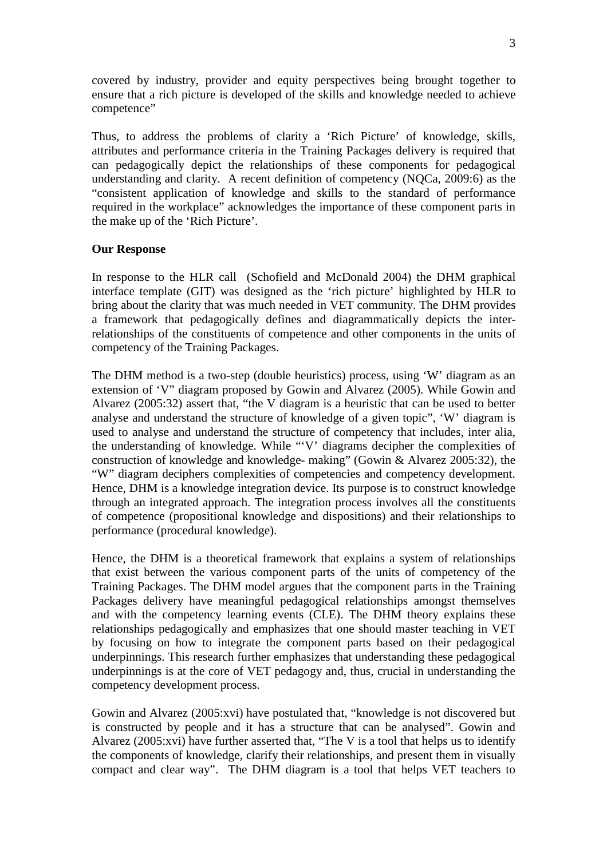covered by industry, provider and equity perspectives being brought together to ensure that a rich picture is developed of the skills and knowledge needed to achieve competence"

Thus, to address the problems of clarity a 'Rich Picture' of knowledge, skills, attributes and performance criteria in the Training Packages delivery is required that can pedagogically depict the relationships of these components for pedagogical understanding and clarity. A recent definition of competency (NQCa, 2009:6) as the "consistent application of knowledge and skills to the standard of performance required in the workplace" acknowledges the importance of these component parts in the make up of the 'Rich Picture'.

## **Our Response**

In response to the HLR call (Schofield and McDonald 2004) the DHM graphical interface template (GIT) was designed as the 'rich picture' highlighted by HLR to bring about the clarity that was much needed in VET community. The DHM provides a framework that pedagogically defines and diagrammatically depicts the interrelationships of the constituents of competence and other components in the units of competency of the Training Packages.

The DHM method is a two-step (double heuristics) process, using 'W' diagram as an extension of 'V" diagram proposed by Gowin and Alvarez (2005). While Gowin and Alvarez (2005:32) assert that, "the V diagram is a heuristic that can be used to better analyse and understand the structure of knowledge of a given topic", 'W' diagram is used to analyse and understand the structure of competency that includes, inter alia, the understanding of knowledge. While "'V' diagrams decipher the complexities of construction of knowledge and knowledge- making" (Gowin & Alvarez 2005:32), the "W" diagram deciphers complexities of competencies and competency development. Hence, DHM is a knowledge integration device. Its purpose is to construct knowledge through an integrated approach. The integration process involves all the constituents of competence (propositional knowledge and dispositions) and their relationships to performance (procedural knowledge).

Hence, the DHM is a theoretical framework that explains a system of relationships that exist between the various component parts of the units of competency of the Training Packages. The DHM model argues that the component parts in the Training Packages delivery have meaningful pedagogical relationships amongst themselves and with the competency learning events (CLE). The DHM theory explains these relationships pedagogically and emphasizes that one should master teaching in VET by focusing on how to integrate the component parts based on their pedagogical underpinnings. This research further emphasizes that understanding these pedagogical underpinnings is at the core of VET pedagogy and, thus, crucial in understanding the competency development process.

Gowin and Alvarez (2005:xvi) have postulated that, "knowledge is not discovered but is constructed by people and it has a structure that can be analysed". Gowin and Alvarez (2005:xvi) have further asserted that, "The V is a tool that helps us to identify the components of knowledge, clarify their relationships, and present them in visually compact and clear way". The DHM diagram is a tool that helps VET teachers to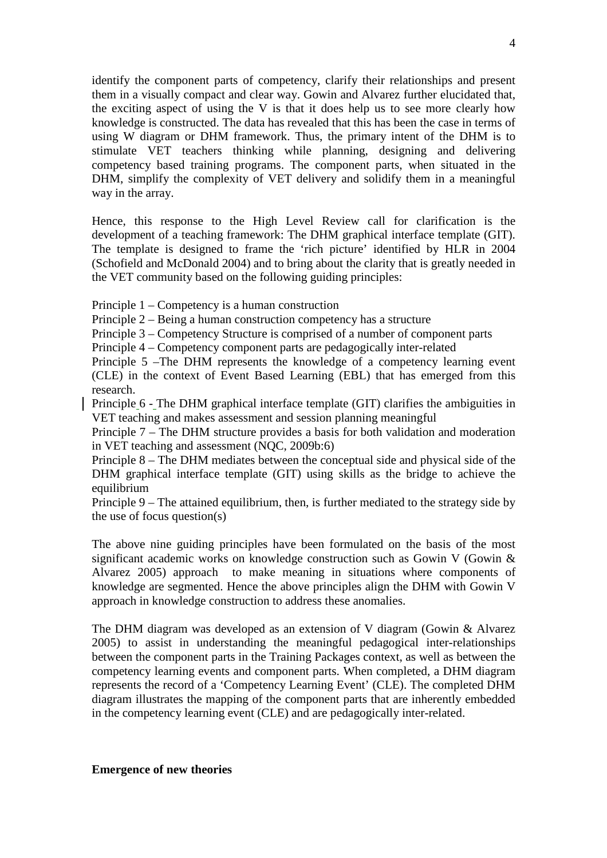identify the component parts of competency, clarify their relationships and present them in a visually compact and clear way. Gowin and Alvarez further elucidated that, the exciting aspect of using the V is that it does help us to see more clearly how knowledge is constructed. The data has revealed that this has been the case in terms of using W diagram or DHM framework. Thus, the primary intent of the DHM is to stimulate VET teachers thinking while planning, designing and delivering competency based training programs. The component parts, when situated in the DHM, simplify the complexity of VET delivery and solidify them in a meaningful way in the array.

Hence, this response to the High Level Review call for clarification is the development of a teaching framework: The DHM graphical interface template (GIT). The template is designed to frame the 'rich picture' identified by HLR in 2004 (Schofield and McDonald 2004) and to bring about the clarity that is greatly needed in the VET community based on the following guiding principles:

Principle 1 – Competency is a human construction

Principle 2 – Being a human construction competency has a structure

Principle 3 – Competency Structure is comprised of a number of component parts

Principle 4 – Competency component parts are pedagogically inter-related

Principle 5 –The DHM represents the knowledge of a competency learning event (CLE) in the context of Event Based Learning (EBL) that has emerged from this research.

Principle 6 - The DHM graphical interface template (GIT) clarifies the ambiguities in VET teaching and makes assessment and session planning meaningful

Principle 7 – The DHM structure provides a basis for both validation and moderation in VET teaching and assessment (NQC, 2009b:6)

Principle 8 – The DHM mediates between the conceptual side and physical side of the DHM graphical interface template (GIT) using skills as the bridge to achieve the equilibrium

Principle 9 – The attained equilibrium, then, is further mediated to the strategy side by the use of focus question(s)

The above nine guiding principles have been formulated on the basis of the most significant academic works on knowledge construction such as Gowin V (Gowin & Alvarez 2005) approach to make meaning in situations where components of knowledge are segmented. Hence the above principles align the DHM with Gowin V approach in knowledge construction to address these anomalies.

The DHM diagram was developed as an extension of V diagram (Gowin & Alvarez 2005) to assist in understanding the meaningful pedagogical inter-relationships between the component parts in the Training Packages context, as well as between the competency learning events and component parts. When completed, a DHM diagram represents the record of a 'Competency Learning Event' (CLE). The completed DHM diagram illustrates the mapping of the component parts that are inherently embedded in the competency learning event (CLE) and are pedagogically inter-related.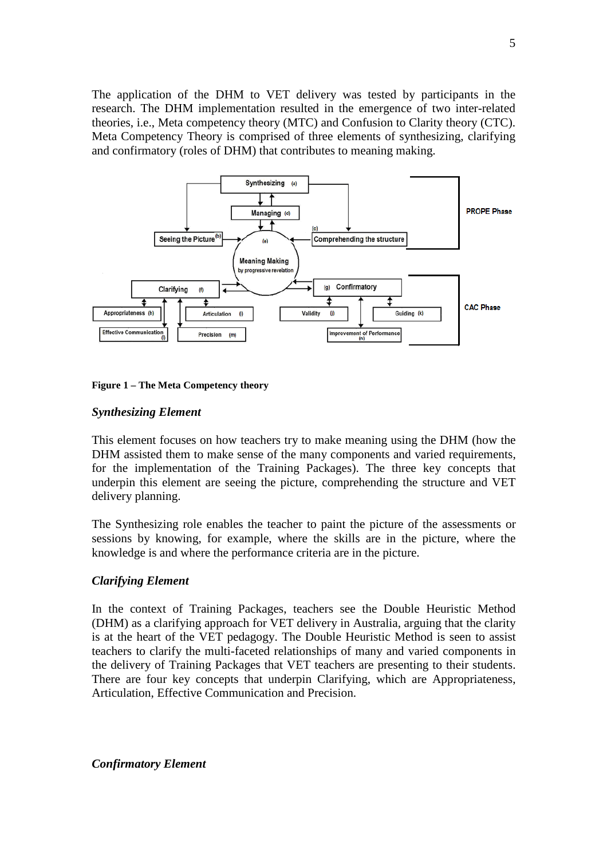The application of the DHM to VET delivery was tested by participants in the research. The DHM implementation resulted in the emergence of two inter-related theories, i.e., Meta competency theory (MTC) and Confusion to Clarity theory (CTC). Meta Competency Theory is comprised of three elements of synthesizing, clarifying and confirmatory (roles of DHM) that contributes to meaning making.





#### *Synthesizing Element*

This element focuses on how teachers try to make meaning using the DHM (how the DHM assisted them to make sense of the many components and varied requirements, for the implementation of the Training Packages). The three key concepts that underpin this element are seeing the picture, comprehending the structure and VET delivery planning.

The Synthesizing role enables the teacher to paint the picture of the assessments or sessions by knowing, for example, where the skills are in the picture, where the knowledge is and where the performance criteria are in the picture.

## *Clarifying Element*

In the context of Training Packages, teachers see the Double Heuristic Method (DHM) as a clarifying approach for VET delivery in Australia, arguing that the clarity is at the heart of the VET pedagogy. The Double Heuristic Method is seen to assist teachers to clarify the multi-faceted relationships of many and varied components in the delivery of Training Packages that VET teachers are presenting to their students. There are four key concepts that underpin Clarifying, which are Appropriateness, Articulation, Effective Communication and Precision.

*Confirmatory Element*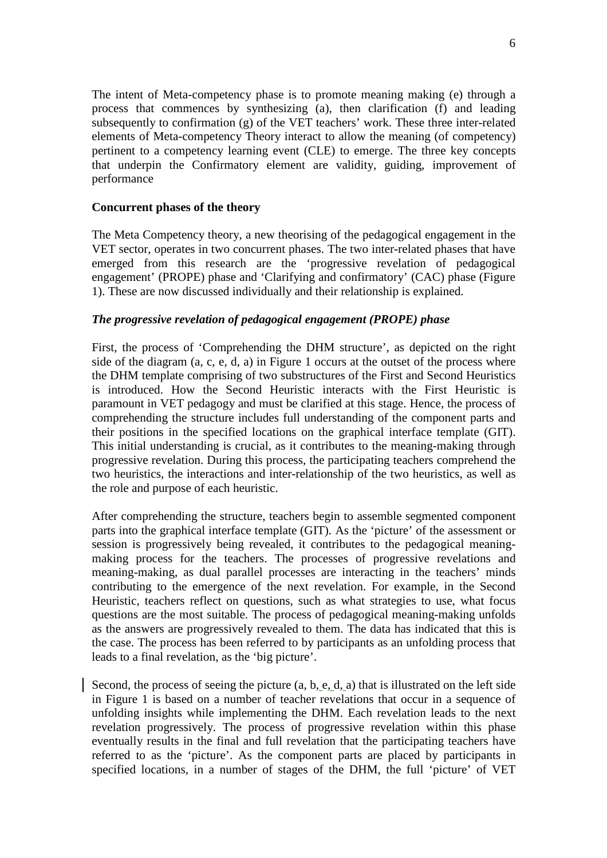The intent of Meta-competency phase is to promote meaning making (e) through a process that commences by synthesizing (a), then clarification (f) and leading subsequently to confirmation (g) of the VET teachers' work. These three inter-related elements of Meta-competency Theory interact to allow the meaning (of competency) pertinent to a competency learning event (CLE) to emerge. The three key concepts that underpin the Confirmatory element are validity, guiding, improvement of performance

### **Concurrent phases of the theory**

The Meta Competency theory, a new theorising of the pedagogical engagement in the VET sector, operates in two concurrent phases. The two inter-related phases that have emerged from this research are the 'progressive revelation of pedagogical engagement' (PROPE) phase and 'Clarifying and confirmatory' (CAC) phase (Figure 1). These are now discussed individually and their relationship is explained.

## *The progressive revelation of pedagogical engagement (PROPE) phase*

First, the process of 'Comprehending the DHM structure', as depicted on the right side of the diagram (a, c, e, d, a) in Figure 1 occurs at the outset of the process where the DHM template comprising of two substructures of the First and Second Heuristics is introduced. How the Second Heuristic interacts with the First Heuristic is paramount in VET pedagogy and must be clarified at this stage. Hence, the process of comprehending the structure includes full understanding of the component parts and their positions in the specified locations on the graphical interface template (GIT). This initial understanding is crucial, as it contributes to the meaning-making through progressive revelation. During this process, the participating teachers comprehend the two heuristics, the interactions and inter-relationship of the two heuristics, as well as the role and purpose of each heuristic.

After comprehending the structure, teachers begin to assemble segmented component parts into the graphical interface template (GIT). As the 'picture' of the assessment or session is progressively being revealed, it contributes to the pedagogical meaningmaking process for the teachers. The processes of progressive revelations and meaning-making, as dual parallel processes are interacting in the teachers' minds contributing to the emergence of the next revelation. For example, in the Second Heuristic, teachers reflect on questions, such as what strategies to use, what focus questions are the most suitable. The process of pedagogical meaning-making unfolds as the answers are progressively revealed to them. The data has indicated that this is the case. The process has been referred to by participants as an unfolding process that leads to a final revelation, as the 'big picture'.

Second, the process of seeing the picture (a, b, e, d, a) that is illustrated on the left side in Figure 1 is based on a number of teacher revelations that occur in a sequence of unfolding insights while implementing the DHM. Each revelation leads to the next revelation progressively. The process of progressive revelation within this phase eventually results in the final and full revelation that the participating teachers have referred to as the 'picture'. As the component parts are placed by participants in specified locations, in a number of stages of the DHM, the full 'picture' of VET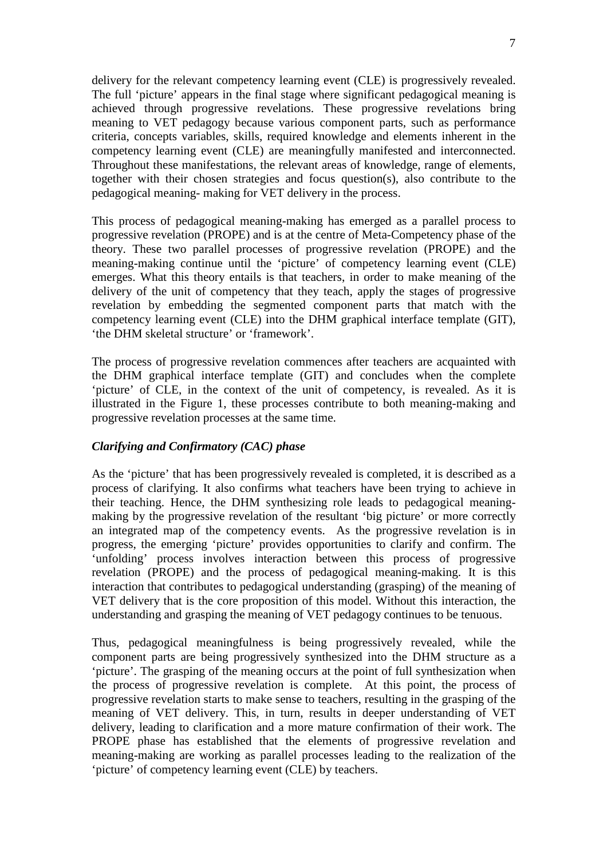delivery for the relevant competency learning event (CLE) is progressively revealed. The full 'picture' appears in the final stage where significant pedagogical meaning is achieved through progressive revelations. These progressive revelations bring meaning to VET pedagogy because various component parts, such as performance criteria, concepts variables, skills, required knowledge and elements inherent in the competency learning event (CLE) are meaningfully manifested and interconnected. Throughout these manifestations, the relevant areas of knowledge, range of elements, together with their chosen strategies and focus question(s), also contribute to the pedagogical meaning- making for VET delivery in the process.

This process of pedagogical meaning-making has emerged as a parallel process to progressive revelation (PROPE) and is at the centre of Meta-Competency phase of the theory. These two parallel processes of progressive revelation (PROPE) and the meaning-making continue until the 'picture' of competency learning event (CLE) emerges. What this theory entails is that teachers, in order to make meaning of the delivery of the unit of competency that they teach, apply the stages of progressive revelation by embedding the segmented component parts that match with the competency learning event (CLE) into the DHM graphical interface template (GIT), 'the DHM skeletal structure' or 'framework'.

The process of progressive revelation commences after teachers are acquainted with the DHM graphical interface template (GIT) and concludes when the complete 'picture' of CLE, in the context of the unit of competency, is revealed. As it is illustrated in the Figure 1, these processes contribute to both meaning-making and progressive revelation processes at the same time.

## *Clarifying and Confirmatory (CAC) phase*

As the 'picture' that has been progressively revealed is completed, it is described as a process of clarifying. It also confirms what teachers have been trying to achieve in their teaching. Hence, the DHM synthesizing role leads to pedagogical meaningmaking by the progressive revelation of the resultant 'big picture' or more correctly an integrated map of the competency events. As the progressive revelation is in progress, the emerging 'picture' provides opportunities to clarify and confirm. The 'unfolding' process involves interaction between this process of progressive revelation (PROPE) and the process of pedagogical meaning-making. It is this interaction that contributes to pedagogical understanding (grasping) of the meaning of VET delivery that is the core proposition of this model. Without this interaction, the understanding and grasping the meaning of VET pedagogy continues to be tenuous.

Thus, pedagogical meaningfulness is being progressively revealed, while the component parts are being progressively synthesized into the DHM structure as a 'picture'. The grasping of the meaning occurs at the point of full synthesization when the process of progressive revelation is complete. At this point, the process of progressive revelation starts to make sense to teachers, resulting in the grasping of the meaning of VET delivery. This, in turn, results in deeper understanding of VET delivery, leading to clarification and a more mature confirmation of their work. The PROPE phase has established that the elements of progressive revelation and meaning-making are working as parallel processes leading to the realization of the 'picture' of competency learning event (CLE) by teachers.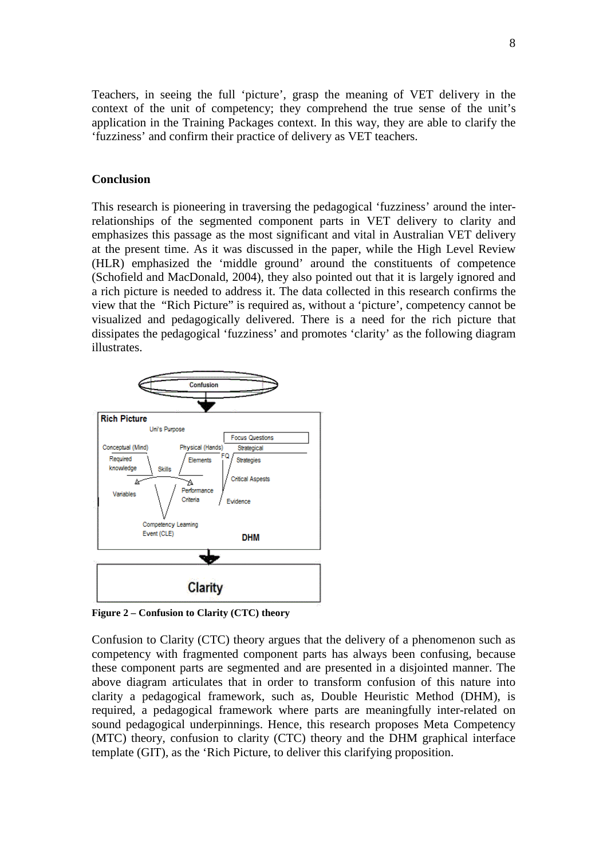Teachers, in seeing the full 'picture', grasp the meaning of VET delivery in the context of the unit of competency; they comprehend the true sense of the unit's application in the Training Packages context. In this way, they are able to clarify the 'fuzziness' and confirm their practice of delivery as VET teachers.

#### **Conclusion**

This research is pioneering in traversing the pedagogical 'fuzziness' around the interrelationships of the segmented component parts in VET delivery to clarity and emphasizes this passage as the most significant and vital in Australian VET delivery at the present time. As it was discussed in the paper, while the High Level Review (HLR) emphasized the 'middle ground' around the constituents of competence (Schofield and MacDonald, 2004), they also pointed out that it is largely ignored and a rich picture is needed to address it. The data collected in this research confirms the view that the "Rich Picture" is required as, without a 'picture', competency cannot be visualized and pedagogically delivered. There is a need for the rich picture that dissipates the pedagogical 'fuzziness' and promotes 'clarity' as the following diagram illustrates.



**Figure 2 – Confusion to Clarity (CTC) theory** 

Confusion to Clarity (CTC) theory argues that the delivery of a phenomenon such as competency with fragmented component parts has always been confusing, because these component parts are segmented and are presented in a disjointed manner. The above diagram articulates that in order to transform confusion of this nature into clarity a pedagogical framework, such as, Double Heuristic Method (DHM), is required, a pedagogical framework where parts are meaningfully inter-related on sound pedagogical underpinnings. Hence, this research proposes Meta Competency (MTC) theory, confusion to clarity (CTC) theory and the DHM graphical interface template (GIT), as the 'Rich Picture, to deliver this clarifying proposition.